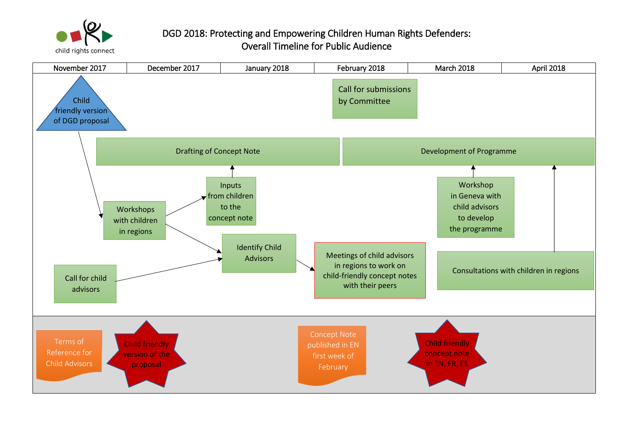

## DGD 2018: Protecting and Empowering Children Human Rights Defenders: Overall Timeline for Public Audience